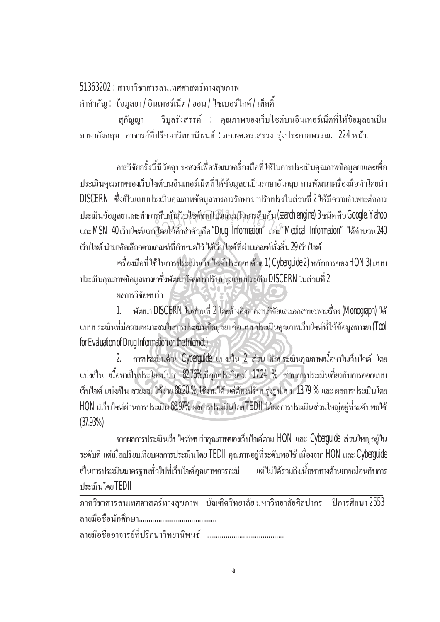## $51363202$  : สาขาวิชาสารสนเทศศาสตร์ทางสุขภาพ

 $\hat{\mathsf{n}}$ าสำคัญ $\colon$  ข้อมูลยา $/$ อินเทอร์เน็ต $/$ ฮอน $/$  ไซเบอร์ไกด์ $/$ เท็ดคี้

สุกัญญา วิบูลรังสรรค์ : คุณภาพของเว็บไซต์บนอินเทอร์เน็ตที่ให้ข้อมูลยาเป็น ึภาษาอังกฤษ อาจารย์ที่ปรึกษาวิทยานิพนธ์ :ภก.ผศ.คร.สรวง รุ่งประกายพรรณ. 224 หน้า.

การวิจัยครั้งนี้มีวัตถุประสงค์เพื่อพัฒนาเครื่องมือที่ ใช้ ในการประเมินคุณภาพข้อมูลยาและเพื่อ ´Ê ประเมินคุณภาพของเว็บไซต์บนอินเทอร์เน็ตที่ให้ข้อมูลยาเป็นภาษาอังกฤษ การพัฒนาเครื่องมือทำโดยนำ ºÉ DISCERN ซึ่งเป็นแบบประเมินคุณภาพข้อมูลทางการรักษา มาปรับปรุงในส่วนที่ 2 ให้มีความจำเพาะต่อการ ประเมินข้อมูลยา และทำการสืบค้นเว็บไซต์จากโปร์แกรมในการสืบค้น (Search engine) 3 ชนิด คือ Google, Yahoo ประเมินข้อมูลยา และทำการสืบค้นเว็บ ไซต์จากโปรแกร่มในการสืบค้น (Search engine) 3 ชนิด คือ Google, Yahoo<br>และ MSN 40 เว็บ ไซต์แรก โดยใช้คำสำคัญคือ "Drug Information" และ "Medical Information" "ได้จำนวน 240 ้เว็บไซต์ นำมาคัดเลือกตามเกณฑ์ที่กำหนดไว้ ได้เว็บไซต์ที่ผ่านเกณฑ์ทั้งสิ้น*2*9 เว็บไซต์

เครื่องมือที่ ใช้ ในการประเมินเว็บ ไซต์ประกอบค้วย 1) Cyberguide 2) หลักการของ HON 3) แบบ ประเมินคุณภาพข้อมูลทางยาซึ่งพัฒนาโดยการปรับปรุงแบบประเมิน DISCERN ในส่วนที่ 2 ¹É

ผลการวิจัยพบว่า

1. พัฒนา DISCERN ในส่วนที่ 2 โดยอ้างอิงจากงานวิจัยและเอกสารเฉพาะเรื่อง (Monograph) ใด้ ู แบบประเมินที่มีความเหมาะสมในการประเมินข้อมูลยา คือ แบบประเมินคุณภาพเว็บไซต์ที่ให้ข้อมูลทางยา (Tool for Evaluation of Drug Information on the Internet )

2. การประเมินด้วย Cyberguide แบ่งเป็น 2 ส่วน คือประเมินคุณภาพเนื้อหาในเว็บไซต์ โดย แบ่งเป็น เนื้อหาเป็นประโยชน์มาก 82.76%,มีคุณประโยชน์ 17.24 % ส่วนการประเมินเกี่ยวกับการออกแบบ เว็บไซต์ แบ่งเป็น สวยงาม ใช้ง่าย  $86.20~\%$ ,ใช้งานได้ แต่ต้องปรับปรุงรูปแบบ 13.79 % และ ผลการประเมินโดย HON มีเว็บไซต์ผ่านการประเมิน 68.97% ผลการประเมินโดย TEDII ได้ผลการประเมินส่วนใหญ่อยู่ที่ระดับพอใช้ (37.93%)

ิจากผลการประเมินเว็บไซต์พบว่าคุณภาพของเว็บไซต์ตาม HON และ Cyberguide ส่วนใหญ่อยู่ใน ระดับดี แต่เมื่อเปรียบเทียบผลการประเมินโดย TEDII คุณภาพอยู่ที่ระดับพอใช้ เนื่องจาก HON และ Cyberguide เป็นการประเมินมาตรฐานทั่วไปที่เว็บไซต์คุณภาพควรจะมี แต่ไม่ได้รวมถึงเนื้อหาทางด้านยาเหมือนกับการ ºÊ ประเมินโดย TEDII

£µª·µµ¦Á««µ¦rµ»£µ¡ ´·ª·¥µ¨´¥ ¤®µª·¥µ¨´¥«¨µ¦ · eµ¦«¹¬µ 2553 ¨µ¥¤º° °´«¹¬µ........................................ ºÉ

¨µ¥¤º° °°µµ¦¥r¸É¦¹¬µª¥µ · ·¡r ........................................ ºÉ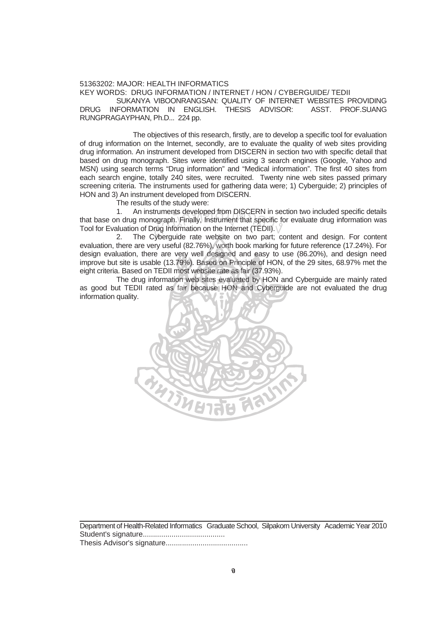## 51363202: MAJOR: HEALTH INFORMATICS KEY WORDS: DRUG INFORMATION / INTERNET / HON / CYBERGUIDE/ TEDII SUKANYA VIBOONRANGSAN: QUALITY OF INTERNET WEBSITES PROVIDING

DRUG INFORMATION IN ENGLISH. THESIS ADVISOR: ASST. PROF.SUANG RUNGPRAGAYPHAN, Ph.D... 224 pp.

 The objectives of this research, firstly, are to develop a specific tool for evaluation of drug information on the Internet, secondly, are to evaluate the quality of web sites providing drug information. An instrument developed from DISCERN in section two with specific detail that based on drug monograph. Sites were identified using 3 search engines (Google, Yahoo and MSN) using search terms "Drug information" and "Medical information". The first 40 sites from each search engine, totally 240 sites, were recruited. Twenty nine web sites passed primary screening criteria. The instruments used for gathering data were; 1) Cyberguide; 2) principles of HON and 3) An instrument developed from DISCERN.

The results of the study were:

1. An instruments developed from DISCERN in section two included specific details that base on drug monograph. Finally, Instrument that specific for evaluate drug information was Tool for Evaluation of Drug Information on the Internet (TEDII). struments developed from DISCERN in se<br>hograph. Finally, Instrument that specific f<br>Drug Information on the Internet (TEDII). \/<br>Cyberguide, rate, website, on two part: C

2. The Cyberguide rate website on two part; content and design. For content evaluation, there are very useful (82.76%), worth book marking for future reference (17.24%). For design evaluation, there are very well designed and easy to use (86.20%), and design need improve but site is usable (13.79%). Based on Principle of HON, of the 29 sites, 68.97% met the eight criteria. Based on TEDII most website rate as fair (37.93%).

 The drug information web sites evaluated by HON and Cyberguide are mainly rated as good but TEDII rated as fair because HON and Cyberguide are not evaluated the drug information quality.



Department of Health-Related Informatics Graduate School, Silpakorn University Academic Year 2010 Student's signature........................................ Thesis Advisor's signature........................................